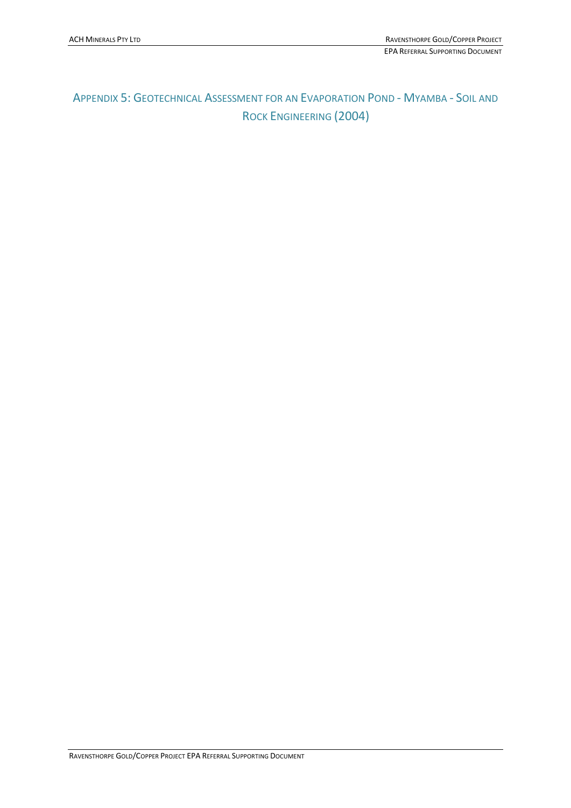# APPENDIX 5: GEOTECHNICAL ASSESSMENT FOR AN EVAPORATION POND - MYAMBA - SOIL AND ROCK ENGINEERING (2004)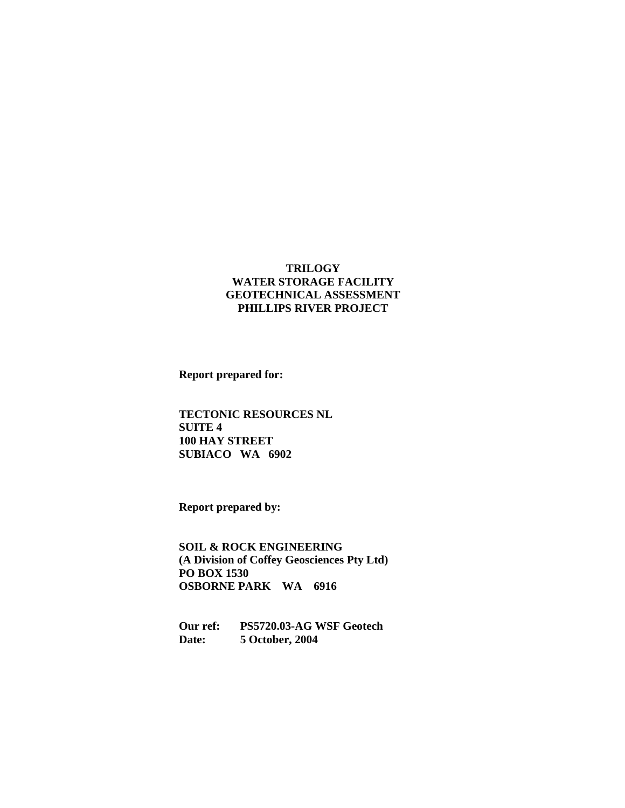#### **TRILOGY WATER STORAGE FACILITY GEOTECHNICAL ASSESSMENT PHILLIPS RIVER PROJECT**

**Report prepared for:** 

**TECTONIC RESOURCES NL SUITE 4 100 HAY STREET SUBIACO WA 6902** 

**Report prepared by:** 

**SOIL & ROCK ENGINEERING (A Division of Coffey Geosciences Pty Ltd) PO BOX 1530 OSBORNE PARK WA 6916** 

**Our ref: PS5720.03-AG WSF Geotech Date: 5 October, 2004**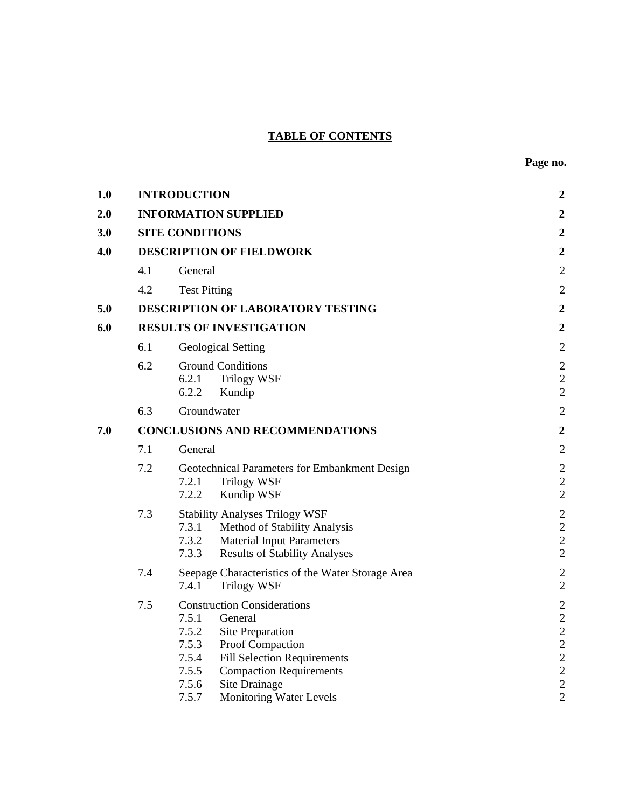# **TABLE OF CONTENTS**

| 1.0 |                                        | <b>INTRODUCTION</b>                                                                                                                                                                                                                                                      | $\boldsymbol{2}$                                                                                                                           |  |
|-----|----------------------------------------|--------------------------------------------------------------------------------------------------------------------------------------------------------------------------------------------------------------------------------------------------------------------------|--------------------------------------------------------------------------------------------------------------------------------------------|--|
| 2.0 |                                        | <b>INFORMATION SUPPLIED</b>                                                                                                                                                                                                                                              | $\boldsymbol{2}$                                                                                                                           |  |
| 3.0 |                                        | <b>SITE CONDITIONS</b>                                                                                                                                                                                                                                                   | $\boldsymbol{2}$                                                                                                                           |  |
| 4.0 |                                        | <b>DESCRIPTION OF FIELDWORK</b>                                                                                                                                                                                                                                          | $\boldsymbol{2}$                                                                                                                           |  |
|     | 4.1                                    | General                                                                                                                                                                                                                                                                  | $\sqrt{2}$                                                                                                                                 |  |
|     | 4.2                                    | <b>Test Pitting</b>                                                                                                                                                                                                                                                      | $\sqrt{2}$                                                                                                                                 |  |
| 5.0 |                                        | DESCRIPTION OF LABORATORY TESTING                                                                                                                                                                                                                                        | $\boldsymbol{2}$                                                                                                                           |  |
| 6.0 |                                        | <b>RESULTS OF INVESTIGATION</b>                                                                                                                                                                                                                                          |                                                                                                                                            |  |
|     | 6.1                                    | <b>Geological Setting</b>                                                                                                                                                                                                                                                | $\mathfrak{2}$                                                                                                                             |  |
|     | 6.2                                    | <b>Ground Conditions</b><br>6.2.1<br><b>Trilogy WSF</b><br>6.2.2<br>Kundip                                                                                                                                                                                               | $\sqrt{2}$<br>$\mathbf{2}$<br>$\sqrt{2}$                                                                                                   |  |
|     | 6.3                                    | Groundwater                                                                                                                                                                                                                                                              | $\mathbf{2}$                                                                                                                               |  |
| 7.0 | <b>CONCLUSIONS AND RECOMMENDATIONS</b> | $\boldsymbol{2}$                                                                                                                                                                                                                                                         |                                                                                                                                            |  |
|     | 7.1                                    | General                                                                                                                                                                                                                                                                  | $\mathfrak{2}$                                                                                                                             |  |
|     | 7.2                                    | Geotechnical Parameters for Embankment Design<br><b>Trilogy WSF</b><br>7.2.1<br>7.2.2<br>Kundip WSF                                                                                                                                                                      | $\sqrt{2}$<br>$\overline{2}$<br>$\overline{2}$                                                                                             |  |
|     | 7.3                                    | <b>Stability Analyses Trilogy WSF</b><br>7.3.1<br>Method of Stability Analysis<br>7.3.2<br><b>Material Input Parameters</b><br>7.3.3<br><b>Results of Stability Analyses</b>                                                                                             | $\overline{2}$<br>$\overline{2}$<br>$\sqrt{2}$<br>$\overline{2}$                                                                           |  |
|     | 7.4                                    | Seepage Characteristics of the Water Storage Area<br><b>Trilogy WSF</b><br>7.4.1                                                                                                                                                                                         | $\sqrt{2}$<br>$\overline{2}$                                                                                                               |  |
|     | 7.5                                    | <b>Construction Considerations</b><br>7.5.1<br>General<br>7.5.2<br>Site Preparation<br>7.5.3<br>Proof Compaction<br>7.5.4<br><b>Fill Selection Requirements</b><br>7.5.5<br><b>Compaction Requirements</b><br>7.5.6<br>Site Drainage<br>7.5.7<br>Monitoring Water Levels | $\mathbf{2}$<br>$\overline{c}$<br>$\overline{c}$<br>$\overline{c}$<br>$\overline{c}$<br>$\overline{c}$<br>$\overline{c}$<br>$\overline{2}$ |  |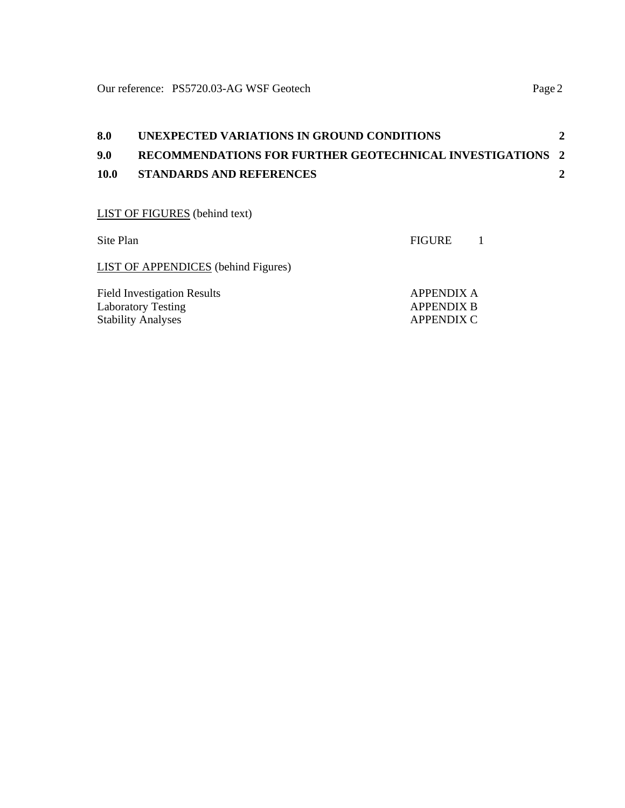| 8.0  | UNEXPECTED VARIATIONS IN GROUND CONDITIONS                |  |
|------|-----------------------------------------------------------|--|
| 9.0  | RECOMMENDATIONS FOR FURTHER GEOTECHNICAL INVESTIGATIONS 2 |  |
| 10.0 | <b>STANDARDS AND REFERENCES</b>                           |  |
|      |                                                           |  |

# LIST OF FIGURES (behind text)

| Site Plan                                                                                    | <b>FIGURE</b>                                        |  |
|----------------------------------------------------------------------------------------------|------------------------------------------------------|--|
| <b>LIST OF APPENDICES</b> (behind Figures)                                                   |                                                      |  |
| <b>Field Investigation Results</b><br><b>Laboratory Testing</b><br><b>Stability Analyses</b> | <b>APPENDIX A</b><br><b>APPENDIX B</b><br>APPENDIX C |  |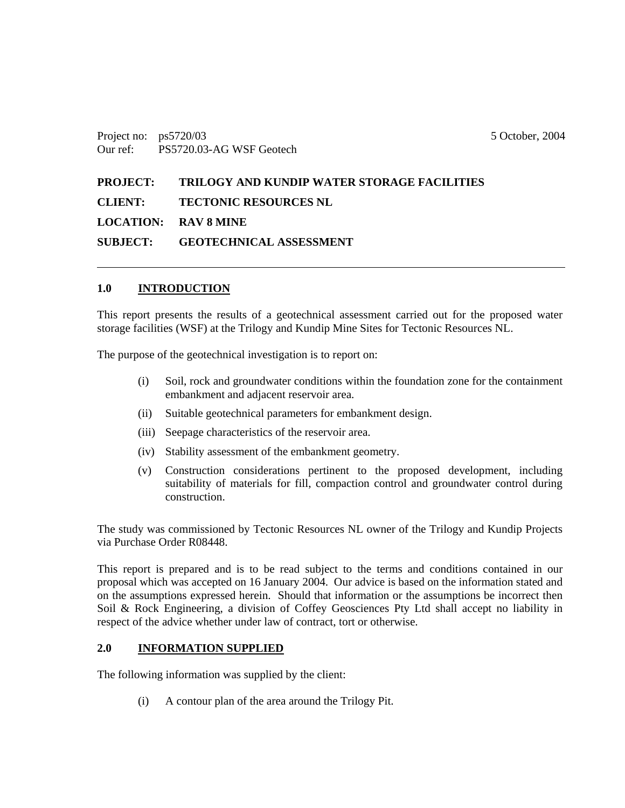Project no: ps5720/03 5 October, 2004 Our ref: PS5720.03-AG WSF Geotech

**PROJECT: TRILOGY AND KUNDIP WATER STORAGE FACILITIES CLIENT: TECTONIC RESOURCES NL LOCATION: RAV 8 MINE SUBJECT: GEOTECHNICAL ASSESSMENT** 

#### **1.0 INTRODUCTION**

This report presents the results of a geotechnical assessment carried out for the proposed water storage facilities (WSF) at the Trilogy and Kundip Mine Sites for Tectonic Resources NL.

The purpose of the geotechnical investigation is to report on:

- (i) Soil, rock and groundwater conditions within the foundation zone for the containment embankment and adjacent reservoir area.
- (ii) Suitable geotechnical parameters for embankment design.
- (iii) Seepage characteristics of the reservoir area.
- (iv) Stability assessment of the embankment geometry.
- (v) Construction considerations pertinent to the proposed development, including suitability of materials for fill, compaction control and groundwater control during construction.

The study was commissioned by Tectonic Resources NL owner of the Trilogy and Kundip Projects via Purchase Order R08448.

This report is prepared and is to be read subject to the terms and conditions contained in our proposal which was accepted on 16 January 2004. Our advice is based on the information stated and on the assumptions expressed herein. Should that information or the assumptions be incorrect then Soil & Rock Engineering, a division of Coffey Geosciences Pty Ltd shall accept no liability in respect of the advice whether under law of contract, tort or otherwise.

#### **2.0 INFORMATION SUPPLIED**

The following information was supplied by the client:

(i) A contour plan of the area around the Trilogy Pit.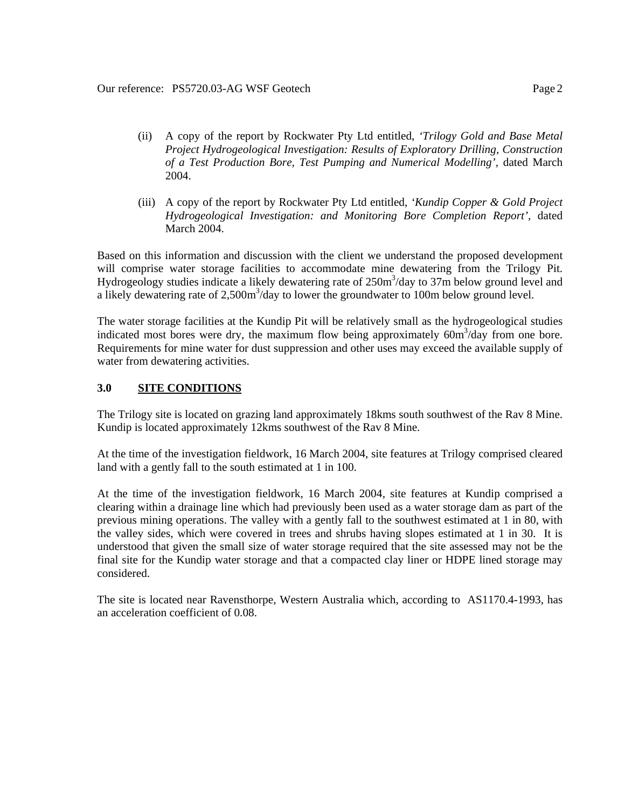- (ii) A copy of the report by Rockwater Pty Ltd entitled, *'Trilogy Gold and Base Metal Project Hydrogeological Investigation: Results of Exploratory Drilling, Construction of a Test Production Bore, Test Pumping and Numerical Modelling',* dated March 2004.
- (iii) A copy of the report by Rockwater Pty Ltd entitled, *'Kundip Copper & Gold Project Hydrogeological Investigation: and Monitoring Bore Completion Report',* dated March 2004.

Based on this information and discussion with the client we understand the proposed development will comprise water storage facilities to accommodate mine dewatering from the Trilogy Pit. Hydrogeology studies indicate a likely dewatering rate of  $250m<sup>3</sup>/day$  to  $37m$  below ground level and a likely dewatering rate of  $2,500m^3$ /day to lower the groundwater to 100m below ground level.

The water storage facilities at the Kundip Pit will be relatively small as the hydrogeological studies indicated most bores were dry, the maximum flow being approximately  $60m^3$ /day from one bore. Requirements for mine water for dust suppression and other uses may exceed the available supply of water from dewatering activities.

#### **3.0 SITE CONDITIONS**

The Trilogy site is located on grazing land approximately 18kms south southwest of the Rav 8 Mine. Kundip is located approximately 12kms southwest of the Rav 8 Mine.

At the time of the investigation fieldwork, 16 March 2004, site features at Trilogy comprised cleared land with a gently fall to the south estimated at 1 in 100.

At the time of the investigation fieldwork, 16 March 2004, site features at Kundip comprised a clearing within a drainage line which had previously been used as a water storage dam as part of the previous mining operations. The valley with a gently fall to the southwest estimated at 1 in 80, with the valley sides, which were covered in trees and shrubs having slopes estimated at 1 in 30. It is understood that given the small size of water storage required that the site assessed may not be the final site for the Kundip water storage and that a compacted clay liner or HDPE lined storage may considered.

The site is located near Ravensthorpe, Western Australia which, according to AS1170.4-1993, has an acceleration coefficient of 0.08.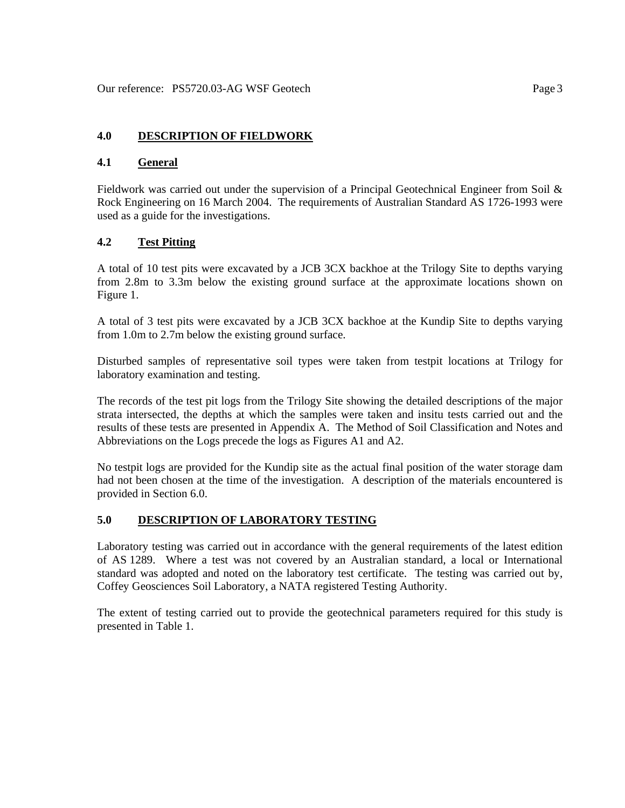### **4.0 DESCRIPTION OF FIELDWORK**

#### **4.1 General**

Fieldwork was carried out under the supervision of a Principal Geotechnical Engineer from Soil & Rock Engineering on 16 March 2004. The requirements of Australian Standard AS 1726-1993 were used as a guide for the investigations.

# **4.2 Test Pitting**

A total of 10 test pits were excavated by a JCB 3CX backhoe at the Trilogy Site to depths varying from 2.8m to 3.3m below the existing ground surface at the approximate locations shown on Figure 1.

A total of 3 test pits were excavated by a JCB 3CX backhoe at the Kundip Site to depths varying from 1.0m to 2.7m below the existing ground surface.

Disturbed samples of representative soil types were taken from testpit locations at Trilogy for laboratory examination and testing.

The records of the test pit logs from the Trilogy Site showing the detailed descriptions of the major strata intersected, the depths at which the samples were taken and insitu tests carried out and the results of these tests are presented in Appendix A. The Method of Soil Classification and Notes and Abbreviations on the Logs precede the logs as Figures A1 and A2.

No testpit logs are provided for the Kundip site as the actual final position of the water storage dam had not been chosen at the time of the investigation. A description of the materials encountered is provided in Section 6.0.

#### **5.0 DESCRIPTION OF LABORATORY TESTING**

Laboratory testing was carried out in accordance with the general requirements of the latest edition of AS 1289. Where a test was not covered by an Australian standard, a local or International standard was adopted and noted on the laboratory test certificate. The testing was carried out by, Coffey Geosciences Soil Laboratory, a NATA registered Testing Authority.

The extent of testing carried out to provide the geotechnical parameters required for this study is presented in Table 1.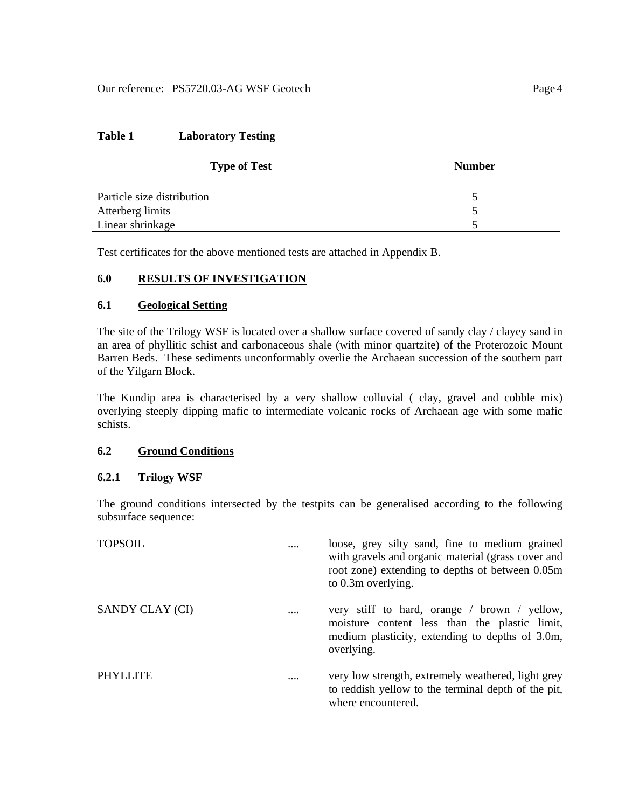#### **Table 1 Laboratory Testing**

| <b>Type of Test</b>        | <b>Number</b> |
|----------------------------|---------------|
|                            |               |
| Particle size distribution |               |
| Atterberg limits           |               |
| Linear shrinkage           |               |

Test certificates for the above mentioned tests are attached in Appendix B.

# **6.0 RESULTS OF INVESTIGATION**

#### **6.1 Geological Setting**

The site of the Trilogy WSF is located over a shallow surface covered of sandy clay / clayey sand in an area of phyllitic schist and carbonaceous shale (with minor quartzite) of the Proterozoic Mount Barren Beds. These sediments unconformably overlie the Archaean succession of the southern part of the Yilgarn Block.

The Kundip area is characterised by a very shallow colluvial ( clay, gravel and cobble mix) overlying steeply dipping mafic to intermediate volcanic rocks of Archaean age with some mafic schists.

#### **6.2 Ground Conditions**

#### **6.2.1 Trilogy WSF**

The ground conditions intersected by the testpits can be generalised according to the following subsurface sequence:

| <b>TOPSOIL</b>  |          | loose, grey silty sand, fine to medium grained<br>with gravels and organic material (grass cover and<br>root zone) extending to depths of between 0.05m<br>to 0.3m overlying. |
|-----------------|----------|-------------------------------------------------------------------------------------------------------------------------------------------------------------------------------|
| SANDY CLAY (CI) | $\cdots$ | very stiff to hard, orange / brown / yellow,<br>moisture content less than the plastic limit,<br>medium plasticity, extending to depths of 3.0m,<br>overlying.                |
| <b>PHYLLITE</b> |          | very low strength, extremely weathered, light grey<br>to reddish yellow to the terminal depth of the pit,<br>where encountered.                                               |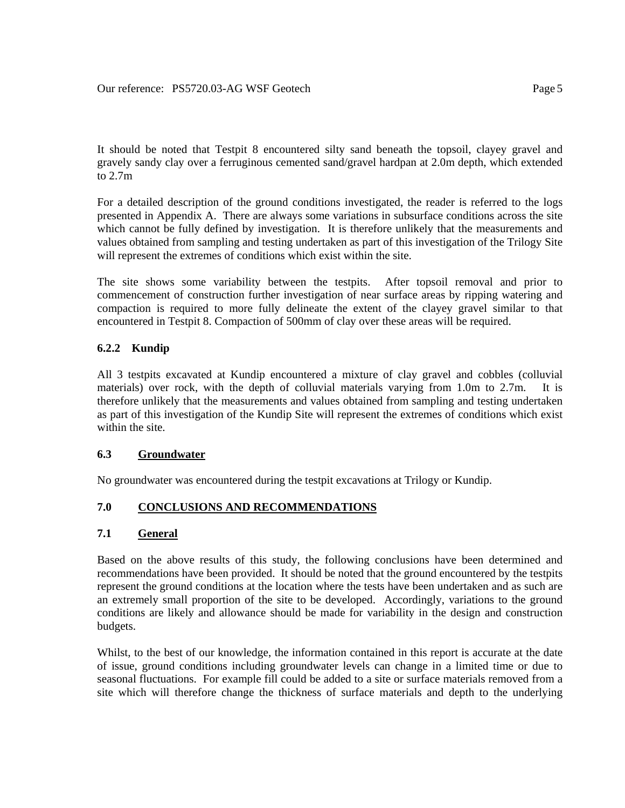It should be noted that Testpit 8 encountered silty sand beneath the topsoil, clayey gravel and gravely sandy clay over a ferruginous cemented sand/gravel hardpan at 2.0m depth, which extended to 2.7m

For a detailed description of the ground conditions investigated, the reader is referred to the logs presented in Appendix A. There are always some variations in subsurface conditions across the site which cannot be fully defined by investigation. It is therefore unlikely that the measurements and values obtained from sampling and testing undertaken as part of this investigation of the Trilogy Site will represent the extremes of conditions which exist within the site.

The site shows some variability between the testpits. After topsoil removal and prior to commencement of construction further investigation of near surface areas by ripping watering and compaction is required to more fully delineate the extent of the clayey gravel similar to that encountered in Testpit 8. Compaction of 500mm of clay over these areas will be required.

# **6.2.2 Kundip**

All 3 testpits excavated at Kundip encountered a mixture of clay gravel and cobbles (colluvial materials) over rock, with the depth of colluvial materials varying from 1.0m to 2.7m. It is therefore unlikely that the measurements and values obtained from sampling and testing undertaken as part of this investigation of the Kundip Site will represent the extremes of conditions which exist within the site.

# **6.3 Groundwater**

No groundwater was encountered during the testpit excavations at Trilogy or Kundip.

# **7.0 CONCLUSIONS AND RECOMMENDATIONS**

# **7.1 General**

Based on the above results of this study, the following conclusions have been determined and recommendations have been provided. It should be noted that the ground encountered by the testpits represent the ground conditions at the location where the tests have been undertaken and as such are an extremely small proportion of the site to be developed. Accordingly, variations to the ground conditions are likely and allowance should be made for variability in the design and construction budgets.

Whilst, to the best of our knowledge, the information contained in this report is accurate at the date of issue, ground conditions including groundwater levels can change in a limited time or due to seasonal fluctuations. For example fill could be added to a site or surface materials removed from a site which will therefore change the thickness of surface materials and depth to the underlying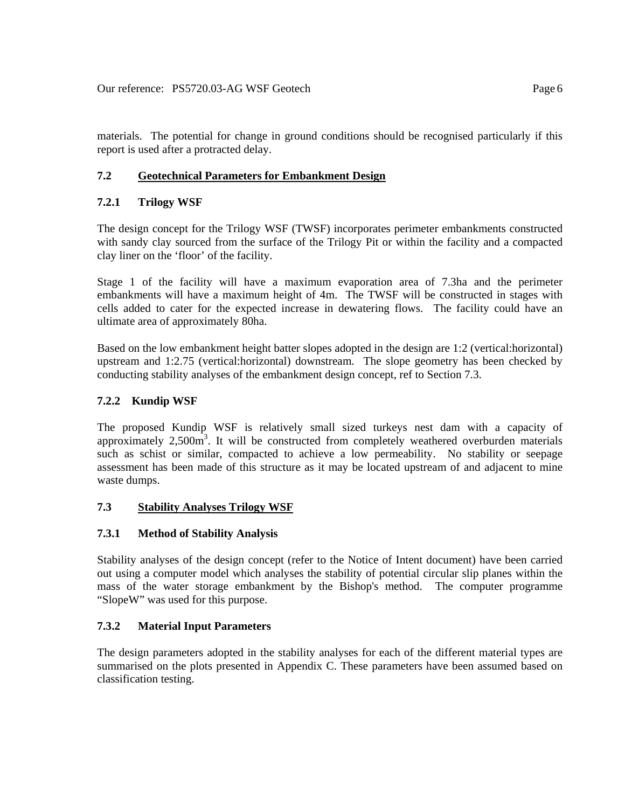materials. The potential for change in ground conditions should be recognised particularly if this report is used after a protracted delay.

# **7.2 Geotechnical Parameters for Embankment Design**

# **7.2.1 Trilogy WSF**

The design concept for the Trilogy WSF (TWSF) incorporates perimeter embankments constructed with sandy clay sourced from the surface of the Trilogy Pit or within the facility and a compacted clay liner on the 'floor' of the facility.

Stage 1 of the facility will have a maximum evaporation area of 7.3ha and the perimeter embankments will have a maximum height of 4m. The TWSF will be constructed in stages with cells added to cater for the expected increase in dewatering flows. The facility could have an ultimate area of approximately 80ha.

Based on the low embankment height batter slopes adopted in the design are 1:2 (vertical:horizontal) upstream and 1:2.75 (vertical:horizontal) downstream. The slope geometry has been checked by conducting stability analyses of the embankment design concept, ref to Section 7.3.

# **7.2.2 Kundip WSF**

The proposed Kundip WSF is relatively small sized turkeys nest dam with a capacity of approximately  $2,500m^3$ . It will be constructed from completely weathered overburden materials such as schist or similar, compacted to achieve a low permeability. No stability or seepage assessment has been made of this structure as it may be located upstream of and adjacent to mine waste dumps.

# **7.3 Stability Analyses Trilogy WSF**

# **7.3.1 Method of Stability Analysis**

Stability analyses of the design concept (refer to the Notice of Intent document) have been carried out using a computer model which analyses the stability of potential circular slip planes within the mass of the water storage embankment by the Bishop's method. The computer programme "SlopeW" was used for this purpose.

# **7.3.2 Material Input Parameters**

The design parameters adopted in the stability analyses for each of the different material types are summarised on the plots presented in Appendix C. These parameters have been assumed based on classification testing.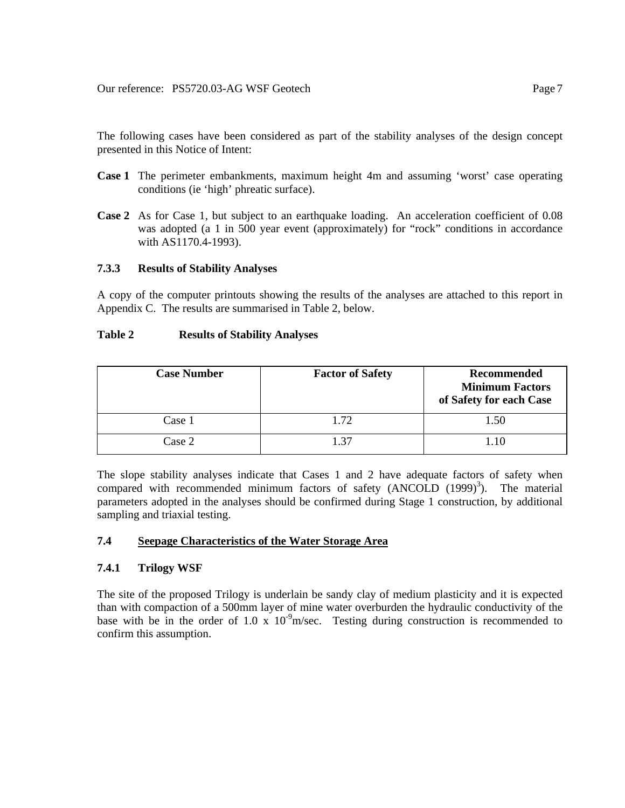The following cases have been considered as part of the stability analyses of the design concept presented in this Notice of Intent:

- **Case 1** The perimeter embankments, maximum height 4m and assuming 'worst' case operating conditions (ie 'high' phreatic surface).
- **Case 2** As for Case 1, but subject to an earthquake loading. An acceleration coefficient of 0.08 was adopted (a 1 in 500 year event (approximately) for "rock" conditions in accordance with AS1170.4-1993).

#### **7.3.3 Results of Stability Analyses**

A copy of the computer printouts showing the results of the analyses are attached to this report in Appendix C. The results are summarised in Table 2, below.

#### **Table 2 Results of Stability Analyses**

| <b>Case Number</b> | <b>Factor of Safety</b> | <b>Recommended</b><br><b>Minimum Factors</b><br>of Safety for each Case |
|--------------------|-------------------------|-------------------------------------------------------------------------|
| Case 1             | 1.72                    | 1.50                                                                    |
| Case 2             | 1.37                    | 1.10                                                                    |

The slope stability analyses indicate that Cases 1 and 2 have adequate factors of safety when compared with recommended minimum factors of safety  $(ANCOLD (1999)^3)$ . The material parameters adopted in the analyses should be confirmed during Stage 1 construction, by additional sampling and triaxial testing.

#### **7.4 Seepage Characteristics of the Water Storage Area**

#### **7.4.1 Trilogy WSF**

The site of the proposed Trilogy is underlain be sandy clay of medium plasticity and it is expected than with compaction of a 500mm layer of mine water overburden the hydraulic conductivity of the base with be in the order of 1.0 x  $10^{-9}$ m/sec. Testing during construction is recommended to confirm this assumption.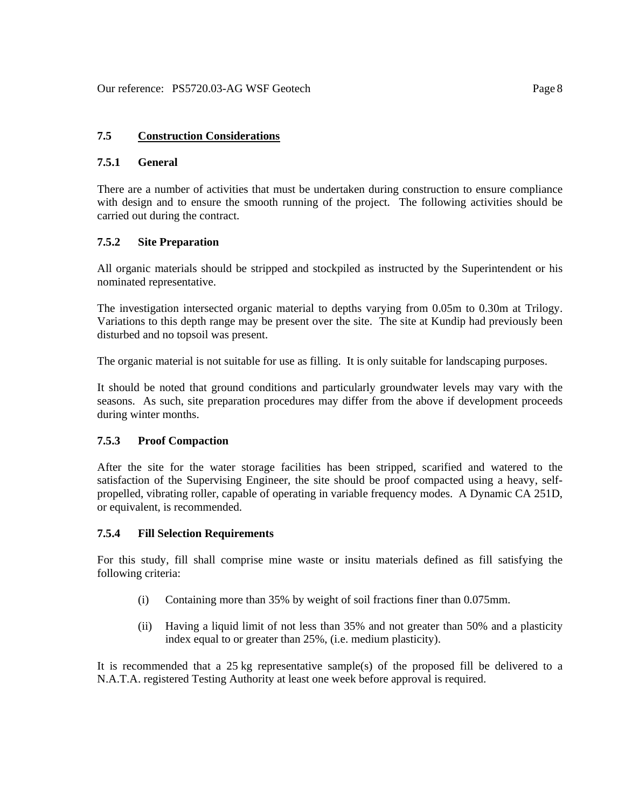### **7.5 Construction Considerations**

### **7.5.1 General**

There are a number of activities that must be undertaken during construction to ensure compliance with design and to ensure the smooth running of the project. The following activities should be carried out during the contract.

#### **7.5.2 Site Preparation**

All organic materials should be stripped and stockpiled as instructed by the Superintendent or his nominated representative.

The investigation intersected organic material to depths varying from 0.05m to 0.30m at Trilogy. Variations to this depth range may be present over the site. The site at Kundip had previously been disturbed and no topsoil was present.

The organic material is not suitable for use as filling. It is only suitable for landscaping purposes.

It should be noted that ground conditions and particularly groundwater levels may vary with the seasons. As such, site preparation procedures may differ from the above if development proceeds during winter months.

#### **7.5.3 Proof Compaction**

After the site for the water storage facilities has been stripped, scarified and watered to the satisfaction of the Supervising Engineer, the site should be proof compacted using a heavy, selfpropelled, vibrating roller, capable of operating in variable frequency modes. A Dynamic CA 251D, or equivalent, is recommended.

#### **7.5.4 Fill Selection Requirements**

For this study, fill shall comprise mine waste or insitu materials defined as fill satisfying the following criteria:

- (i) Containing more than 35% by weight of soil fractions finer than 0.075mm.
- (ii) Having a liquid limit of not less than 35% and not greater than 50% and a plasticity index equal to or greater than 25%, (i.e. medium plasticity).

It is recommended that a 25 kg representative sample(s) of the proposed fill be delivered to a N.A.T.A. registered Testing Authority at least one week before approval is required.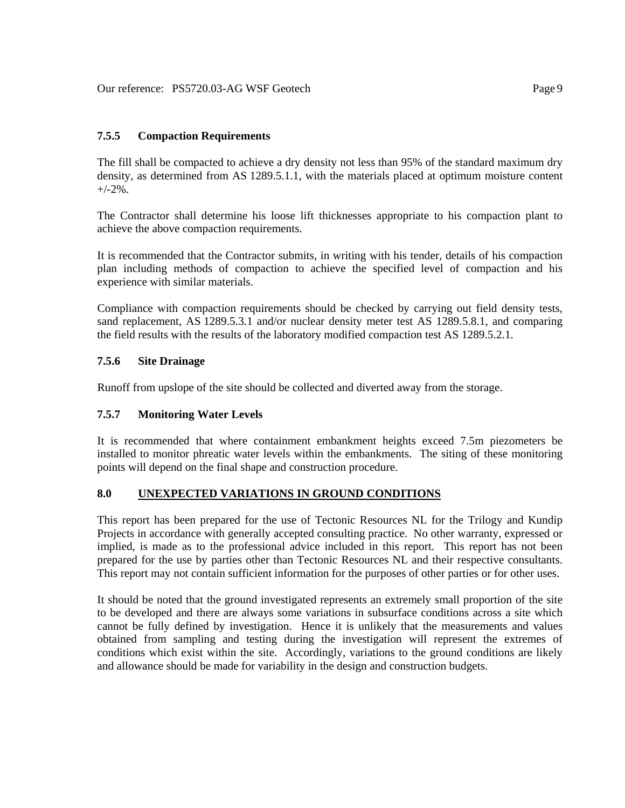# **7.5.5 Compaction Requirements**

The fill shall be compacted to achieve a dry density not less than 95% of the standard maximum dry density, as determined from AS 1289.5.1.1, with the materials placed at optimum moisture content  $+/-2\%$ .

The Contractor shall determine his loose lift thicknesses appropriate to his compaction plant to achieve the above compaction requirements.

It is recommended that the Contractor submits, in writing with his tender, details of his compaction plan including methods of compaction to achieve the specified level of compaction and his experience with similar materials.

Compliance with compaction requirements should be checked by carrying out field density tests, sand replacement, AS 1289.5.3.1 and/or nuclear density meter test AS 1289.5.8.1, and comparing the field results with the results of the laboratory modified compaction test AS 1289.5.2.1.

# **7.5.6 Site Drainage**

Runoff from upslope of the site should be collected and diverted away from the storage.

# **7.5.7 Monitoring Water Levels**

It is recommended that where containment embankment heights exceed 7.5m piezometers be installed to monitor phreatic water levels within the embankments. The siting of these monitoring points will depend on the final shape and construction procedure.

# **8.0 UNEXPECTED VARIATIONS IN GROUND CONDITIONS**

This report has been prepared for the use of Tectonic Resources NL for the Trilogy and Kundip Projects in accordance with generally accepted consulting practice. No other warranty, expressed or implied, is made as to the professional advice included in this report. This report has not been prepared for the use by parties other than Tectonic Resources NL and their respective consultants. This report may not contain sufficient information for the purposes of other parties or for other uses.

It should be noted that the ground investigated represents an extremely small proportion of the site to be developed and there are always some variations in subsurface conditions across a site which cannot be fully defined by investigation. Hence it is unlikely that the measurements and values obtained from sampling and testing during the investigation will represent the extremes of conditions which exist within the site. Accordingly, variations to the ground conditions are likely and allowance should be made for variability in the design and construction budgets.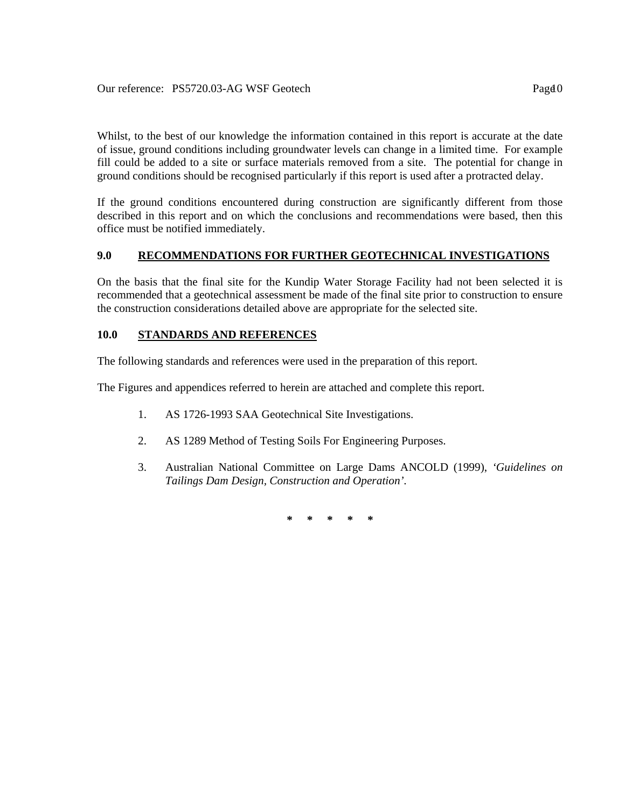Whilst, to the best of our knowledge the information contained in this report is accurate at the date of issue, ground conditions including groundwater levels can change in a limited time. For example fill could be added to a site or surface materials removed from a site. The potential for change in ground conditions should be recognised particularly if this report is used after a protracted delay.

If the ground conditions encountered during construction are significantly different from those described in this report and on which the conclusions and recommendations were based, then this office must be notified immediately.

# **9.0 RECOMMENDATIONS FOR FURTHER GEOTECHNICAL INVESTIGATIONS**

On the basis that the final site for the Kundip Water Storage Facility had not been selected it is recommended that a geotechnical assessment be made of the final site prior to construction to ensure the construction considerations detailed above are appropriate for the selected site.

#### **10.0 STANDARDS AND REFERENCES**

The following standards and references were used in the preparation of this report.

The Figures and appendices referred to herein are attached and complete this report.

- 1. AS 1726-1993 SAA Geotechnical Site Investigations.
- 2. AS 1289 Method of Testing Soils For Engineering Purposes.
- 3. Australian National Committee on Large Dams ANCOLD (1999), *'Guidelines on Tailings Dam Design, Construction and Operation'.*

**\* \* \* \* \***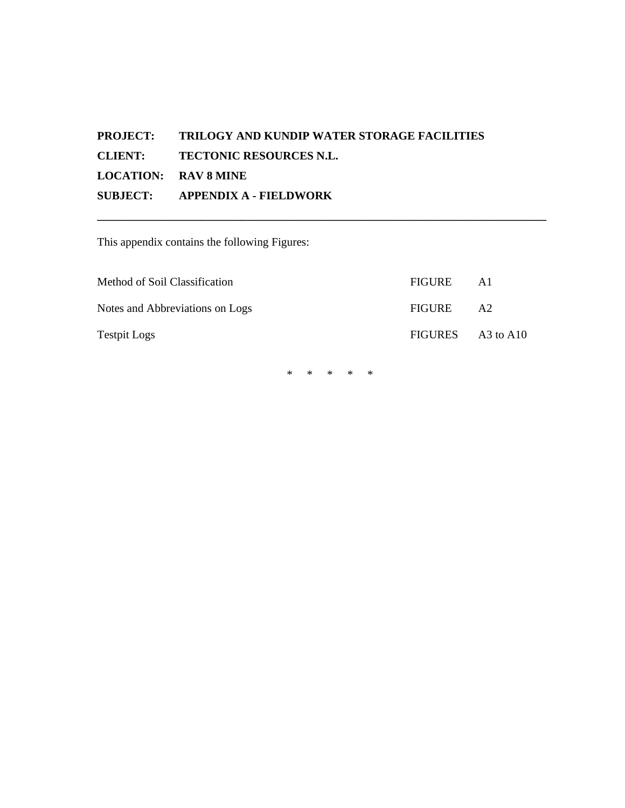# **PROJECT: TRILOGY AND KUNDIP WATER STORAGE FACILITIES CLIENT: TECTONIC RESOURCES N.L. LOCATION: RAV 8 MINE SUBJECT: APPENDIX A - FIELDWORK**

This appendix contains the following Figures:

| Method of Soil Classification   | FIGURE            | A1  |
|---------------------------------|-------------------|-----|
| Notes and Abbreviations on Logs | FIGURE            | A2. |
| <b>Testpit Logs</b>             | FIGURES A3 to A10 |     |

**\_\_\_\_\_\_\_\_\_\_\_\_\_\_\_\_\_\_\_\_\_\_\_\_\_\_\_\_\_\_\_\_\_\_\_\_\_\_\_\_\_\_\_\_\_\_\_\_\_\_\_\_\_\_\_\_\_\_\_\_\_\_\_\_\_\_\_\_\_\_\_\_\_\_\_\_\_\_** 

\* \* \* \* \*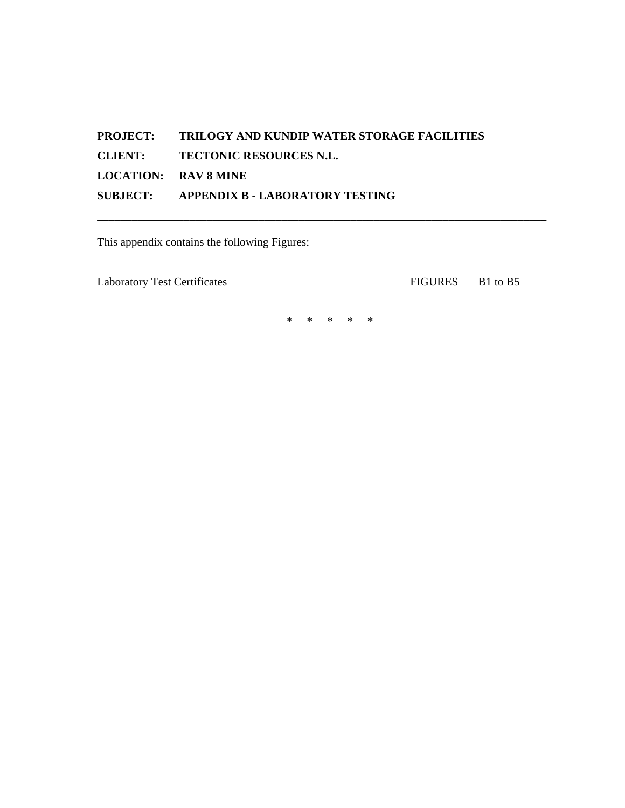# **PROJECT: TRILOGY AND KUNDIP WATER STORAGE FACILITIES CLIENT: TECTONIC RESOURCES N.L. LOCATION: RAV 8 MINE SUBJECT: APPENDIX B - LABORATORY TESTING**

This appendix contains the following Figures:

Laboratory Test Certificates FIGURES B1 to B5

\* \* \* \* \*

**\_\_\_\_\_\_\_\_\_\_\_\_\_\_\_\_\_\_\_\_\_\_\_\_\_\_\_\_\_\_\_\_\_\_\_\_\_\_\_\_\_\_\_\_\_\_\_\_\_\_\_\_\_\_\_\_\_\_\_\_\_\_\_\_\_\_\_\_\_\_\_\_\_\_\_\_\_\_**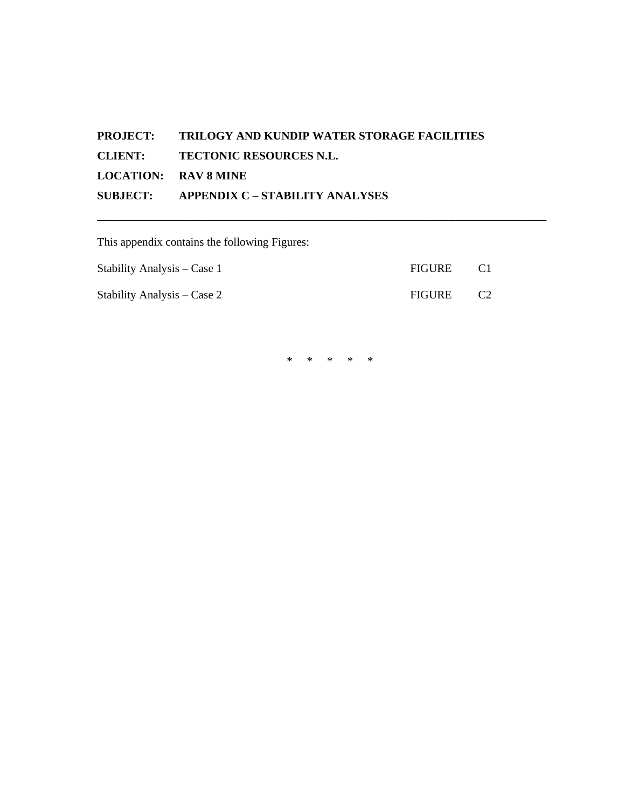# **PROJECT: TRILOGY AND KUNDIP WATER STORAGE FACILITIES CLIENT: TECTONIC RESOURCES N.L. LOCATION: RAV 8 MINE SUBJECT: APPENDIX C – STABILITY ANALYSES**

This appendix contains the following Figures:

| Stability Analysis – Case 1 | FIGURE | - CT |
|-----------------------------|--------|------|
| Stability Analysis – Case 2 | FIGURE |      |

\* \* \* \* \*

**\_\_\_\_\_\_\_\_\_\_\_\_\_\_\_\_\_\_\_\_\_\_\_\_\_\_\_\_\_\_\_\_\_\_\_\_\_\_\_\_\_\_\_\_\_\_\_\_\_\_\_\_\_\_\_\_\_\_\_\_\_\_\_\_\_\_\_\_\_\_\_\_\_\_\_\_\_\_**